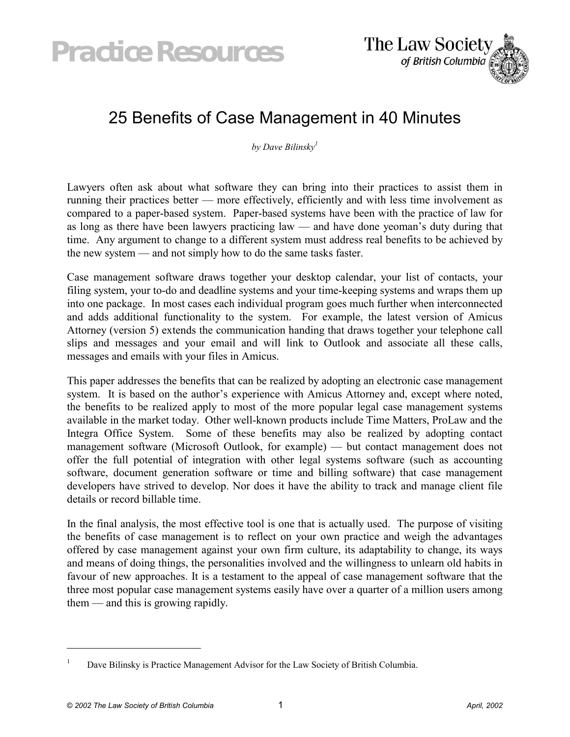# *Practice Resources*



# 25 Benefits of Case Management in 40 Minutes

*by Dave Bilinsk[y1](#page-0-0)*

Lawyers often ask about what software they can bring into their practices to assist them in running their practices better — more effectively, efficiently and with less time involvement as compared to a paper-based system. Paper-based systems have been with the practice of law for as long as there have been lawyers practicing law — and have done yeoman's duty during that time. Any argument to change to a different system must address real benefits to be achieved by the new system — and not simply how to do the same tasks faster.

Case management software draws together your desktop calendar, your list of contacts, your filing system, your to-do and deadline systems and your time-keeping systems and wraps them up into one package. In most cases each individual program goes much further when interconnected and adds additional functionality to the system. For example, the latest version of Amicus Attorney (version 5) extends the communication handing that draws together your telephone call slips and messages and your email and will link to Outlook and associate all these calls, messages and emails with your files in Amicus.

This paper addresses the benefits that can be realized by adopting an electronic case management system. It is based on the author's experience with Amicus Attorney and, except where noted, the benefits to be realized apply to most of the more popular legal case management systems available in the market today. Other well-known products include Time Matters, ProLaw and the Integra Office System. Some of these benefits may also be realized by adopting contact management software (Microsoft Outlook, for example) — but contact management does not offer the full potential of integration with other legal systems software (such as accounting software, document generation software or time and billing software) that case management developers have strived to develop. Nor does it have the ability to track and manage client file details or record billable time.

In the final analysis, the most effective tool is one that is actually used. The purpose of visiting the benefits of case management is to reflect on your own practice and weigh the advantages offered by case management against your own firm culture, its adaptability to change, its ways and means of doing things, the personalities involved and the willingness to unlearn old habits in favour of new approaches. It is a testament to the appeal of case management software that the three most popular case management systems easily have over a quarter of a million users among them — and this is growing rapidly.

 $\overline{a}$ 

<span id="page-0-0"></span><sup>1</sup> Dave Bilinsky is Practice Management Advisor for the Law Society of British Columbia.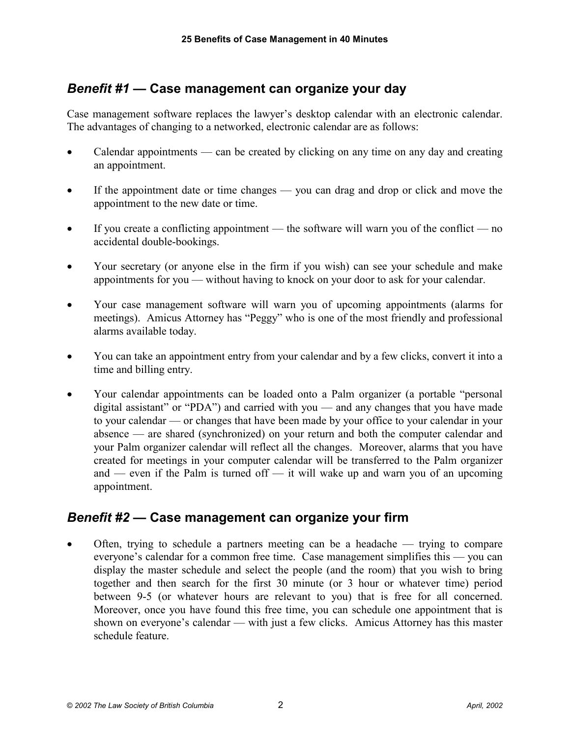# *Benefit #1* **— Case management can organize your day**

Case management software replaces the lawyer's desktop calendar with an electronic calendar. The advantages of changing to a networked, electronic calendar are as follows:

- - Calendar appointments — can be created by clicking on any time on any day and creating an appointment.
- $\bullet$  If the appointment date or time changes — you can drag and drop or click and move the appointment to the new date or time.
- $\bullet$  If you create a conflicting appointment — the software will warn you of the conflict — no accidental double-bookings.
- $\bullet$  Your secretary (or anyone else in the firm if you wish) can see your schedule and make appointments for you — without having to knock on your door to ask for your calendar.
- $\bullet$  Your case management software will warn you of upcoming appointments (alarms for meetings). Amicus Attorney has "Peggy" who is one of the most friendly and professional alarms available today.
- $\bullet$  You can take an appointment entry from your calendar and by a few clicks, convert it into a time and billing entry.
- $\bullet$  Your calendar appointments can be loaded onto a Palm organizer (a portable "personal digital assistant" or "PDA") and carried with you — and any changes that you have made to your calendar — or changes that have been made by your office to your calendar in your absence — are shared (synchronized) on your return and both the computer calendar and your Palm organizer calendar will reflect all the changes. Moreover, alarms that you have created for meetings in your computer calendar will be transferred to the Palm organizer and — even if the Palm is turned of  $\ddot{\hspace{1cm}}$  it will wake up and warn you of an upcoming appointment.

#### *Benefit #2* **— Case management can organize your firm**

- Often, trying to schedule a partners meeting can be a headache — trying to compare everyone's calendar for a common free time. Case management simplifies this — you can display the master schedule and select the people (and the room) that you wish to bring together and then search for the first 30 minute (or 3 hour or whatever time) period between 9-5 (or whatever hours are relevant to you) that is free for all concerned. Moreover, once you have found this free time, you can schedule one appointment that is shown on everyone's calendar — with just a few clicks. Amicus Attorney has this master schedule feature.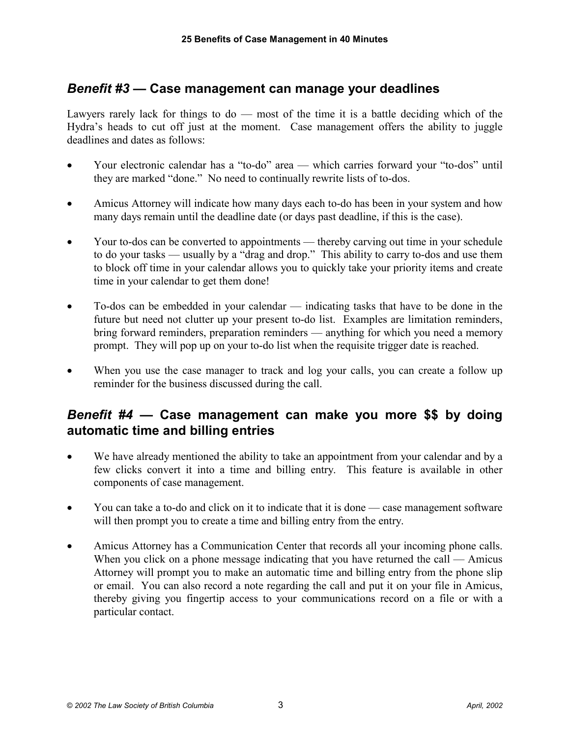# *Benefit #3* **— Case management can manage your deadlines**

Lawyers rarely lack for things to  $d\sigma$  — most of the time it is a battle deciding which of the Hydra's heads to cut off just at the moment. Case management offers the ability to juggle deadlines and dates as follows:

- $\bullet$  Your electronic calendar has a "to-do" area — which carries forward your "to-dos" until they are marked "done." No need to continually rewrite lists of to-dos.
- $\bullet$  Amicus Attorney will indicate how many days each to-do has been in your system and how many days remain until the deadline date (or days past deadline, if this is the case).
- $\bullet$  Your to-dos can be converted to appointments — thereby carving out time in your schedule to do your tasks — usually by a "drag and drop." This ability to carry to-dos and use them to block off time in your calendar allows you to quickly take your priority items and create time in your calendar to get them done!
- $\bullet$  To-dos can be embedded in your calendar — indicating tasks that have to be done in the future but need not clutter up your present to-do list. Examples are limitation reminders, bring forward reminders, preparation reminders — anything for which you need a memory prompt. They will pop up on your to-do list when the requisite trigger date is reached.
- $\bullet$  When you use the case manager to track and log your calls, you can create a follow up reminder for the business discussed during the call.

#### *Benefit #4* **— Case management can make you more \$\$ by doing automatic time and billing entries**

- - We have already mentioned the ability to take an appointment from your calendar and by a few clicks convert it into a time and billing entry. This feature is available in other components of case management.
- $\bullet$  You can take a to-do and click on it to indicate that it is done — case management software will then prompt you to create a time and billing entry from the entry.
- $\bullet$  Amicus Attorney has a Communication Center that records all your incoming phone calls. When you click on a phone message indicating that you have returned the call — Amicus Attorney will prompt you to make an automatic time and billing entry from the phone slip or email. You can also record a note regarding the call and put it on your file in Amicus, thereby giving you fingertip access to your communications record on a file or with a particular contact.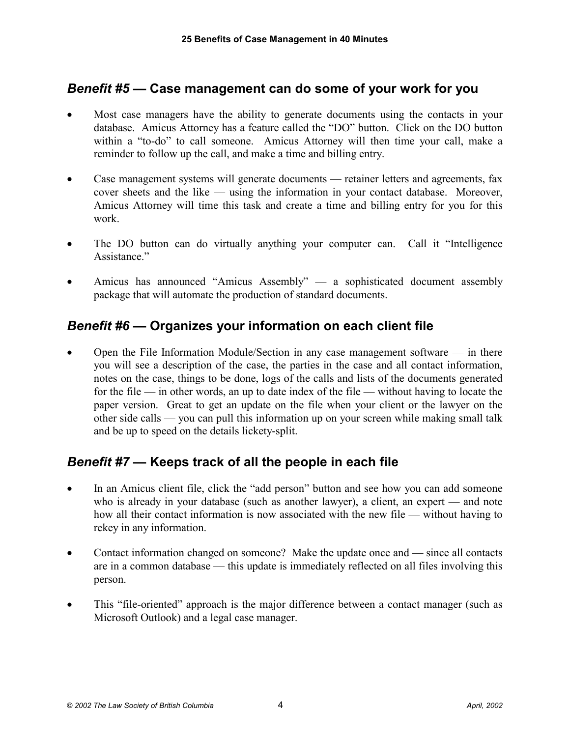# *Benefit #5* **— Case management can do some of your work for you**

- - Most case managers have the ability to generate documents using the contacts in your database. Amicus Attorney has a feature called the "DO" button. Click on the DO button within a "to-do" to call someone. Amicus Attorney will then time your call, make a reminder to follow up the call, and make a time and billing entry.
- - Case management systems will generate documents — retainer letters and agreements, fax cover sheets and the like — using the information in your contact database. Moreover, Amicus Attorney will time this task and create a time and billing entry for you for this work.
- $\bullet$  The DO button can do virtually anything your computer can. Call it "Intelligence Assistance"
- $\bullet$  Amicus has announced "Amicus Assembly" — a sophisticated document assembly package that will automate the production of standard documents.

# *Benefit #6* **— Organizes your information on each client file**

- Open the File Information Module/Section in any case management software — in there you will see a description of the case, the parties in the case and all contact information, notes on the case, things to be done, logs of the calls and lists of the documents generated for the file — in other words, an up to date index of the file — without having to locate the paper version. Great to get an update on the file when your client or the lawyer on the other side calls — you can pull this information up on your screen while making small talk and be up to speed on the details lickety-split.

#### *Benefit #7* **— Keeps track of all the people in each file**

- $\bullet$  In an Amicus client file, click the "add person" button and see how you can add someone who is already in your database (such as another lawyer), a client, an expert — and note how all their contact information is now associated with the new file — without having to rekey in any information.
- $\bullet$  Contact information changed on someone? Make the update once and — since all contacts are in a common database — this update is immediately reflected on all files involving this person.
- $\bullet$  This "file-oriented" approach is the major difference between a contact manager (such as Microsoft Outlook) and a legal case manager.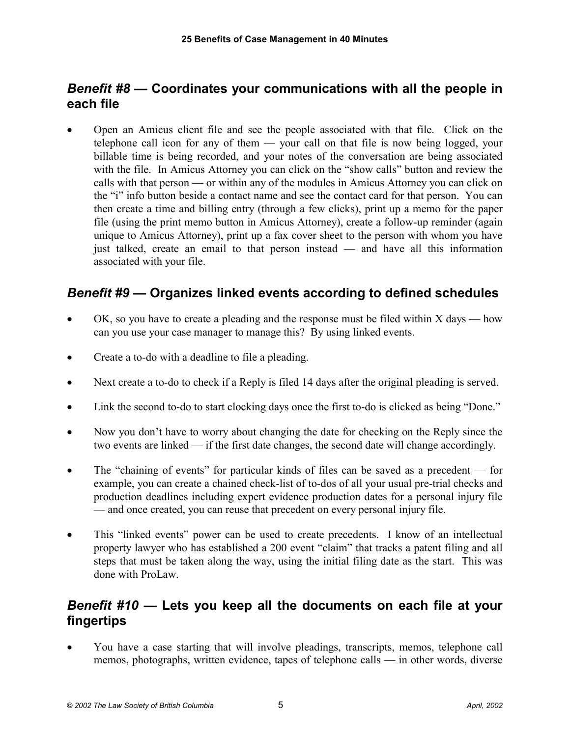# *Benefit #8* **— Coordinates your communications with all the people in each file**

- Open an Amicus client file and see the people associated with that file. Click on the telephone call icon for any of them — your call on that file is now being logged, your billable time is being recorded, and your notes of the conversation are being associated with the file. In Amicus Attorney you can click on the "show calls" button and review the calls with that person — or within any of the modules in Amicus Attorney you can click on the "i" info button beside a contact name and see the contact card for that person. You can then create a time and billing entry (through a few clicks), print up a memo for the paper file (using the print memo button in Amicus Attorney), create a follow-up reminder (again unique to Amicus Attorney), print up a fax cover sheet to the person with whom you have just talked, create an email to that person instead — and have all this information associated with your file.

# *Benefit #9* **— Organizes linked events according to defined schedules**

- - $OK$ , so you have to create a pleading and the response must be filed within  $X$  days — how can you use your case manager to manage this? By using linked events.
- $\bullet$ Create a to-do with a deadline to file a pleading.
- $\bullet$ Next create a to-do to check if a Reply is filed 14 days after the original pleading is served.
- $\bullet$ Link the second to-do to start clocking days once the first to-do is clicked as being "Done."
- $\bullet$  Now you don't have to worry about changing the date for checking on the Reply since the two events are linked — if the first date changes, the second date will change accordingly.
- $\bullet$  The "chaining of events" for particular kinds of files can be saved as a precedent — for example, you can create a chained check-list of to-dos of all your usual pre-trial checks and production deadlines including expert evidence production dates for a personal injury file — and once created, you can reuse that precedent on every personal injury file.
- $\bullet$  This "linked events" power can be used to create precedents. I know of an intellectual property lawyer who has established a 200 event "claim" that tracks a patent filing and all steps that must be taken along the way, using the initial filing date as the start. This was done with ProLaw.

## *Benefit #10* **— Lets you keep all the documents on each file at your fingertips**

- You have a case starting that will involve pleadings, transcripts, memos, telephone call memos, photographs, written evidence, tapes of telephone calls — in other words, diverse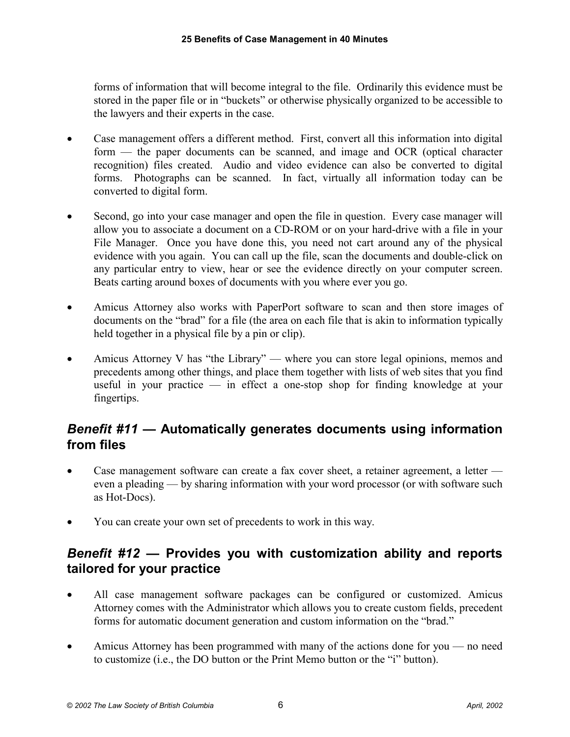forms of information that will become integral to the file. Ordinarily this evidence must be stored in the paper file or in "buckets" or otherwise physically organized to be accessible to the lawyers and their experts in the case.

- $\bullet$  Case management offers a different method. First, convert all this information into digital form — the paper documents can be scanned, and image and OCR (optical character recognition) files created. Audio and video evidence can also be converted to digital forms. Photographs can be scanned. In fact, virtually all information today can be converted to digital form.
- $\bullet$  Second, go into your case manager and open the file in question. Every case manager will allow you to associate a document on a CD-ROM or on your hard-drive with a file in your File Manager. Once you have done this, you need not cart around any of the physical evidence with you again. You can call up the file, scan the documents and double-click on any particular entry to view, hear or see the evidence directly on your computer screen. Beats carting around boxes of documents with you where ever you go.
- $\bullet$  Amicus Attorney also works with PaperPort software to scan and then store images of documents on the "brad" for a file (the area on each file that is akin to information typically held together in a physical file by a pin or clip).
- $\bullet$  Amicus Attorney V has "the Library" — where you can store legal opinions, memos and precedents among other things, and place them together with lists of web sites that you find useful in your practice — in effect a one-stop shop for finding knowledge at your fingertips.

# *Benefit #11* **— Automatically generates documents using information from files**

- - Case management software can create a fax cover sheet, a retainer agreement, a letter even a pleading — by sharing information with your word processor (or with software such as Hot-Docs).
- -You can create your own set of precedents to work in this way.

## *Benefit #12* **— Provides you with customization ability and reports tailored for your practice**

- $\bullet$  All case management software packages can be configured or customized. Amicus Attorney comes with the Administrator which allows you to create custom fields, precedent forms for automatic document generation and custom information on the "brad."
- $\bullet$  Amicus Attorney has been programmed with many of the actions done for you — no need to customize (i.e., the DO button or the Print Memo button or the "i" button).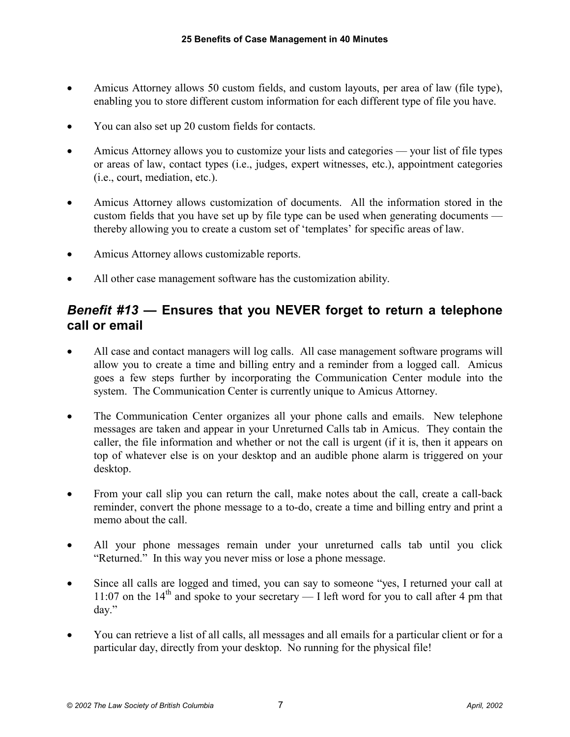- $\bullet$  Amicus Attorney allows 50 custom fields, and custom layouts, per area of law (file type), enabling you to store different custom information for each different type of file you have.
- $\bullet$ You can also set up 20 custom fields for contacts.
- - Amicus Attorney allows you to customize your lists and categories — your list of file types or areas of law, contact types (i.e., judges, expert witnesses, etc.), appointment categories (i.e., court, mediation, etc.).
- $\bullet$  Amicus Attorney allows customization of documents. All the information stored in the custom fields that you have set up by file type can be used when generating documents thereby allowing you to create a custom set of 'templates' for specific areas of law.
- $\bullet$ Amicus Attorney allows customizable reports.
- $\bullet$ All other case management software has the customization ability.

#### *Benefit #13* **— Ensures that you NEVER forget to return a telephone call or email**

- - All case and contact managers will log calls. All case management software programs will allow you to create a time and billing entry and a reminder from a logged call. Amicus goes a few steps further by incorporating the Communication Center module into the system. The Communication Center is currently unique to Amicus Attorney.
- $\bullet$  The Communication Center organizes all your phone calls and emails. New telephone messages are taken and appear in your Unreturned Calls tab in Amicus. They contain the caller, the file information and whether or not the call is urgent (if it is, then it appears on top of whatever else is on your desktop and an audible phone alarm is triggered on your desktop.
- - From your call slip you can return the call, make notes about the call, create a call-back reminder, convert the phone message to a to-do, create a time and billing entry and print a memo about the call.
- $\bullet$  All your phone messages remain under your unreturned calls tab until you click "Returned." In this way you never miss or lose a phone message.
- $\bullet$  Since all calls are logged and timed, you can say to someone "yes, I returned your call at 11:07 on the  $14<sup>th</sup>$  and spoke to your secretary — I left word for you to call after 4 pm that day."
- $\bullet$  You can retrieve a list of all calls, all messages and all emails for a particular client or for a particular day, directly from your desktop. No running for the physical file!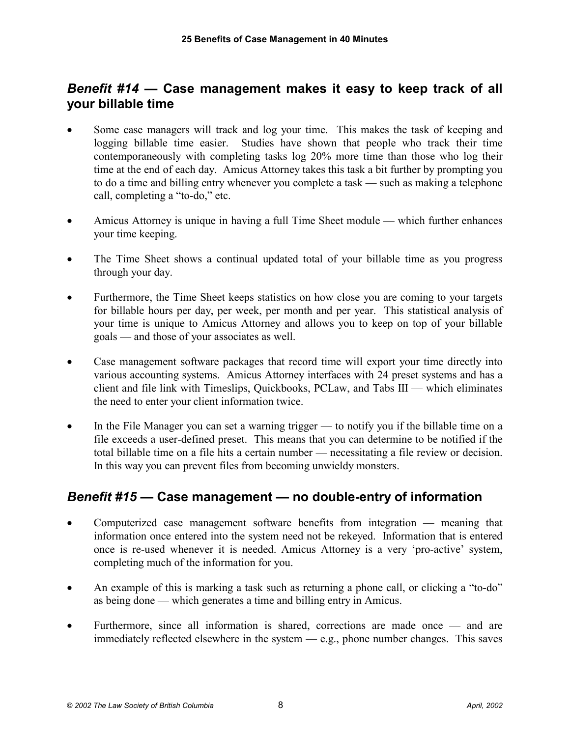## *Benefit #14* **— Case management makes it easy to keep track of all your billable time**

- - Some case managers will track and log your time. This makes the task of keeping and logging billable time easier. Studies have shown that people who track their time contemporaneously with completing tasks log 20% more time than those who log their time at the end of each day. Amicus Attorney takes this task a bit further by prompting you to do a time and billing entry whenever you complete a task — such as making a telephone call, completing a "to-do," etc.
- $\bullet$  Amicus Attorney is unique in having a full Time Sheet module — which further enhances your time keeping.
- $\bullet$  The Time Sheet shows a continual updated total of your billable time as you progress through your day.
- - Furthermore, the Time Sheet keeps statistics on how close you are coming to your targets for billable hours per day, per week, per month and per year. This statistical analysis of your time is unique to Amicus Attorney and allows you to keep on top of your billable goals — and those of your associates as well.
- $\bullet$  Case management software packages that record time will export your time directly into various accounting systems. Amicus Attorney interfaces with 24 preset systems and has a client and file link with Timeslips, Quickbooks, PCLaw, and Tabs III — which eliminates the need to enter your client information twice.
- $\bullet$  In the File Manager you can set a warning trigger — to notify you if the billable time on a file exceeds a user-defined preset. This means that you can determine to be notified if the total billable time on a file hits a certain number — necessitating a file review or decision. In this way you can prevent files from becoming unwieldy monsters.

#### *Benefit #15* **— Case management — no double-entry of information**

- - Computerized case management software benefits from integration — meaning that information once entered into the system need not be rekeyed. Information that is entered once is re-used whenever it is needed. Amicus Attorney is a very 'pro-active' system, completing much of the information for you.
- $\bullet$  An example of this is marking a task such as returning a phone call, or clicking a "to-do" as being done — which generates a time and billing entry in Amicus.
- $\bullet$  Furthermore, since all information is shared, corrections are made once — and are immediately reflected elsewhere in the system — e.g., phone number changes. This saves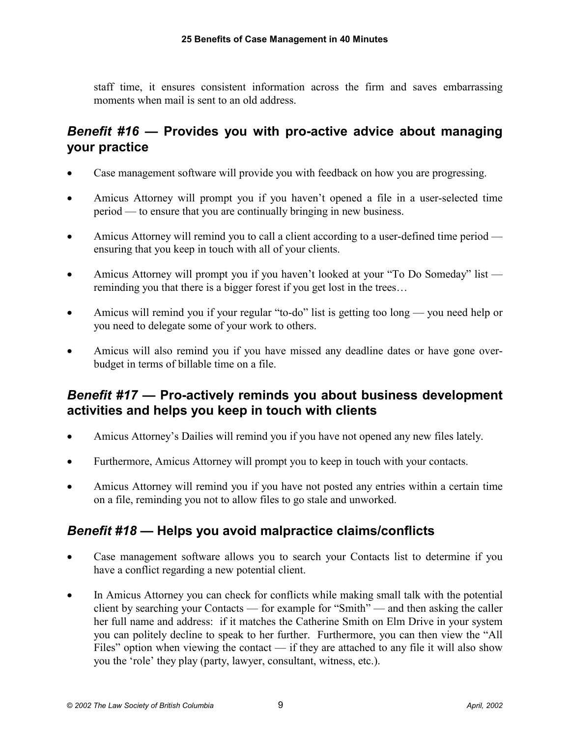staff time, it ensures consistent information across the firm and saves embarrassing moments when mail is sent to an old address.

# *Benefit #16* **— Provides you with pro-active advice about managing your practice**

- -Case management software will provide you with feedback on how you are progressing.
- $\bullet$  Amicus Attorney will prompt you if you haven't opened a file in a user-selected time period — to ensure that you are continually bringing in new business.
- $\bullet$  Amicus Attorney will remind you to call a client according to a user-defined time period ensuring that you keep in touch with all of your clients.
- $\bullet$  Amicus Attorney will prompt you if you haven't looked at your "To Do Someday" list reminding you that there is a bigger forest if you get lost in the trees…
- $\bullet$  Amicus will remind you if your regular "to-do" list is getting too long — you need help or you need to delegate some of your work to others.
- $\bullet$  Amicus will also remind you if you have missed any deadline dates or have gone overbudget in terms of billable time on a file.

# *Benefit #17* **— Pro-actively reminds you about business development activities and helps you keep in touch with clients**

- $\bullet$ Amicus Attorney's Dailies will remind you if you have not opened any new files lately.
- $\bullet$ Furthermore, Amicus Attorney will prompt you to keep in touch with your contacts.
- $\bullet$  Amicus Attorney will remind you if you have not posted any entries within a certain time on a file, reminding you not to allow files to go stale and unworked.

#### *Benefit #18* **— Helps you avoid malpractice claims/conflicts**

- $\bullet$  Case management software allows you to search your Contacts list to determine if you have a conflict regarding a new potential client.
- $\bullet$  In Amicus Attorney you can check for conflicts while making small talk with the potential client by searching your Contacts — for example for "Smith" — and then asking the caller her full name and address: if it matches the Catherine Smith on Elm Drive in your system you can politely decline to speak to her further. Furthermore, you can then view the "All Files" option when viewing the contact — if they are attached to any file it will also show you the 'role' they play (party, lawyer, consultant, witness, etc.).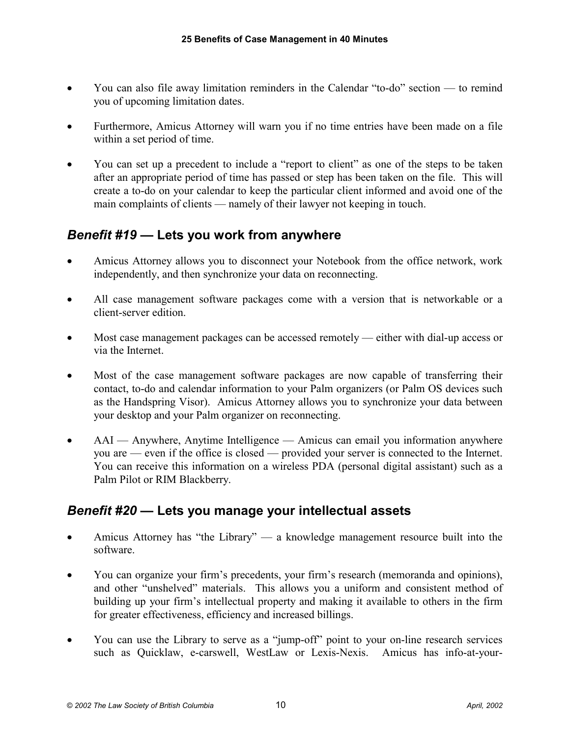- $\bullet$  You can also file away limitation reminders in the Calendar "to-do" section — to remind you of upcoming limitation dates.
- $\bullet$  Furthermore, Amicus Attorney will warn you if no time entries have been made on a file within a set period of time.
- $\bullet$  You can set up a precedent to include a "report to client" as one of the steps to be taken after an appropriate period of time has passed or step has been taken on the file. This will create a to-do on your calendar to keep the particular client informed and avoid one of the main complaints of clients — namely of their lawyer not keeping in touch.

# *Benefit #19* **— Lets you work from anywhere**

- $\bullet$  Amicus Attorney allows you to disconnect your Notebook from the office network, work independently, and then synchronize your data on reconnecting.
- $\bullet$  All case management software packages come with a version that is networkable or a client-server edition.
- $\bullet$  Most case management packages can be accessed remotely — either with dial-up access or via the Internet.
- $\bullet$  Most of the case management software packages are now capable of transferring their contact, to-do and calendar information to your Palm organizers (or Palm OS devices such as the Handspring Visor). Amicus Attorney allows you to synchronize your data between your desktop and your Palm organizer on reconnecting.
- $\bullet$  AAI — Anywhere, Anytime Intelligence — Amicus can email you information anywhere you are — even if the office is closed — provided your server is connected to the Internet. You can receive this information on a wireless PDA (personal digital assistant) such as a Palm Pilot or RIM Blackberry.

# *Benefit #20* **— Lets you manage your intellectual assets**

- $\bullet$  Amicus Attorney has "the Library" — a knowledge management resource built into the software.
- $\bullet$  You can organize your firm's precedents, your firm's research (memoranda and opinions), and other "unshelved" materials. This allows you a uniform and consistent method of building up your firm's intellectual property and making it available to others in the firm for greater effectiveness, efficiency and increased billings.
- $\bullet$  You can use the Library to serve as a "jump-off" point to your on-line research services such as Quicklaw, e-carswell, WestLaw or Lexis-Nexis. Amicus has info-at-your-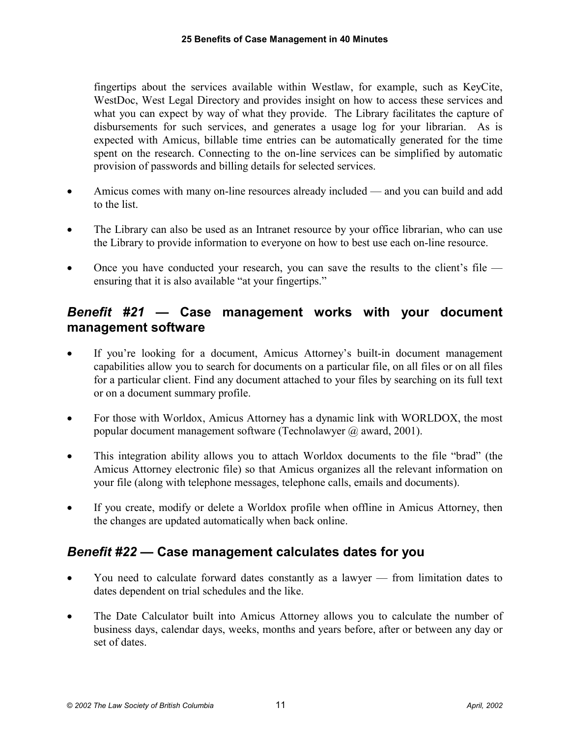fingertips about the services available within Westlaw, for example, such as KeyCite, WestDoc, West Legal Directory and provides insight on how to access these services and what you can expect by way of what they provide. The Library facilitates the capture of disbursements for such services, and generates a usage log for your librarian. As is expected with Amicus, billable time entries can be automatically generated for the time spent on the research. Connecting to the on-line services can be simplified by automatic provision of passwords and billing details for selected services.

- $\bullet$  Amicus comes with many on-line resources already included — and you can build and add to the list.
- - The Library can also be used as an Intranet resource by your office librarian, who can use the Library to provide information to everyone on how to best use each on-line resource.
- $\bullet$  Once you have conducted your research, you can save the results to the client's file ensuring that it is also available "at your fingertips."

#### *Benefit #21* **— Case management works with your document management software**

- - If you're looking for a document, Amicus Attorney's built-in document management capabilities allow you to search for documents on a particular file, on all files or on all files for a particular client. Find any document attached to your files by searching on its full text or on a document summary profile.
- $\bullet$  For those with Worldox, Amicus Attorney has a dynamic link with WORLDOX, the most popular document management software (Technolawyer @ award, 2001).
- $\bullet$  This integration ability allows you to attach Worldox documents to the file "brad" (the Amicus Attorney electronic file) so that Amicus organizes all the relevant information on your file (along with telephone messages, telephone calls, emails and documents).
- $\bullet$  If you create, modify or delete a Worldox profile when offline in Amicus Attorney, then the changes are updated automatically when back online.

#### *Benefit #22* **— Case management calculates dates for you**

- $\bullet$  You need to calculate forward dates constantly as a lawyer — from limitation dates to dates dependent on trial schedules and the like.
- $\bullet$  The Date Calculator built into Amicus Attorney allows you to calculate the number of business days, calendar days, weeks, months and years before, after or between any day or set of dates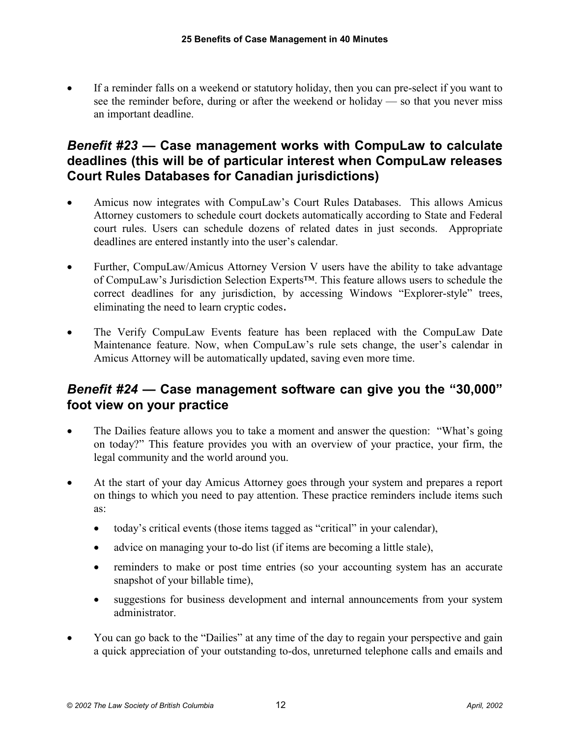- If a reminder falls on a weekend or statutory holiday, then you can pre-select if you want to see the reminder before, during or after the weekend or holiday — so that you never miss an important deadline.

#### *Benefit #23* **— Case management works with CompuLaw to calculate deadlines (this will be of particular interest when CompuLaw releases Court Rules Databases for Canadian jurisdictions)**

- $\bullet$  Amicus now integrates with CompuLaw's Court Rules Databases. This allows Amicus Attorney customers to schedule court dockets automatically according to State and Federal court rules. Users can schedule dozens of related dates in just seconds. Appropriate deadlines are entered instantly into the user's calendar.
- $\bullet$  Further, CompuLaw/Amicus Attorney Version V users have the ability to take advantage of CompuLaw's Jurisdiction Selection Experts™. This feature allows users to schedule the correct deadlines for any jurisdiction, by accessing Windows "Explorer-style" trees, eliminating the need to learn cryptic codes.
- $\bullet$  The Verify CompuLaw Events feature has been replaced with the CompuLaw Date Maintenance feature. Now, when CompuLaw's rule sets change, the user's calendar in Amicus Attorney will be automatically updated, saving even more time.

## *Benefit #24* **— Case management software can give you the "30,000" foot view on your practice**

- $\bullet$  The Dailies feature allows you to take a moment and answer the question: "What's going on today?" This feature provides you with an overview of your practice, your firm, the legal community and the world around you.
- - At the start of your day Amicus Attorney goes through your system and prepares a report on things to which you need to pay attention. These practice reminders include items such as:
	- $\bullet$ today's critical events (those items tagged as "critical" in your calendar),
	- $\bullet$ advice on managing your to-do list (if items are becoming a little stale),
	- $\bullet$  reminders to make or post time entries (so your accounting system has an accurate snapshot of your billable time),
	- $\bullet$  suggestions for business development and internal announcements from your system administrator.
- $\bullet$  You can go back to the "Dailies" at any time of the day to regain your perspective and gain a quick appreciation of your outstanding to-dos, unreturned telephone calls and emails and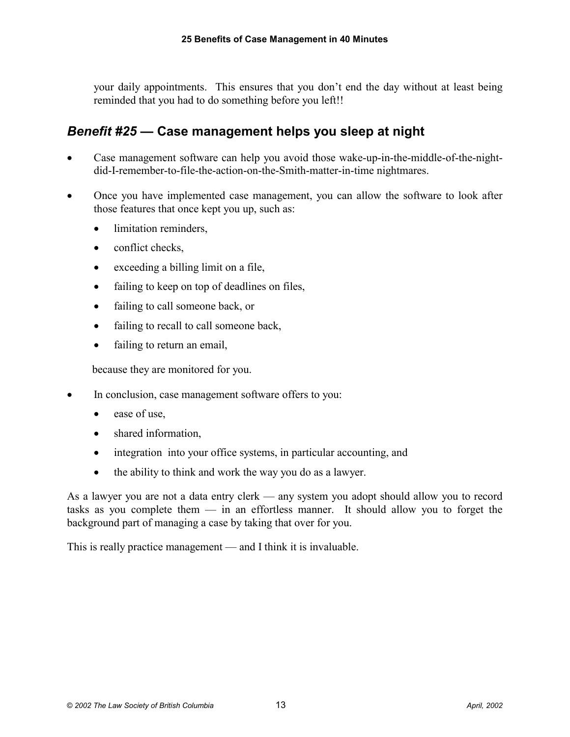your daily appointments. This ensures that you don't end the day without at least being reminded that you had to do something before you left!!

# *Benefit #25* **— Case management helps you sleep at night**

- - Case management software can help you avoid those wake-up-in-the-middle-of-the-nightdid-I-remember-to-file-the-action-on-the-Smith-matter-in-time nightmares.
- $\bullet$  Once you have implemented case management, you can allow the software to look after those features that once kept you up, such as:
	- $\bullet$ limitation reminders,
	- $\bullet$ conflict checks,
	- exceeding a billing limit on a file,
	- $\bullet$ failing to keep on top of deadlines on files,
	- $\bullet$ failing to call someone back, or
	- $\bullet$ failing to recall to call someone back,
	- $\bullet$ failing to return an email,

because they are monitored for you.

- - In conclusion, case management software offers to you:
	- $\bullet$ ease of use,
	- $\bullet$ shared information,
	- $\bullet$ integration into your office systems, in particular accounting, and
	- $\bullet$ the ability to think and work the way you do as a lawyer.

As a lawyer you are not a data entry clerk — any system you adopt should allow you to record tasks as you complete them — in an effortless manner. It should allow you to forget the background part of managing a case by taking that over for you.

This is really practice management — and I think it is invaluable.